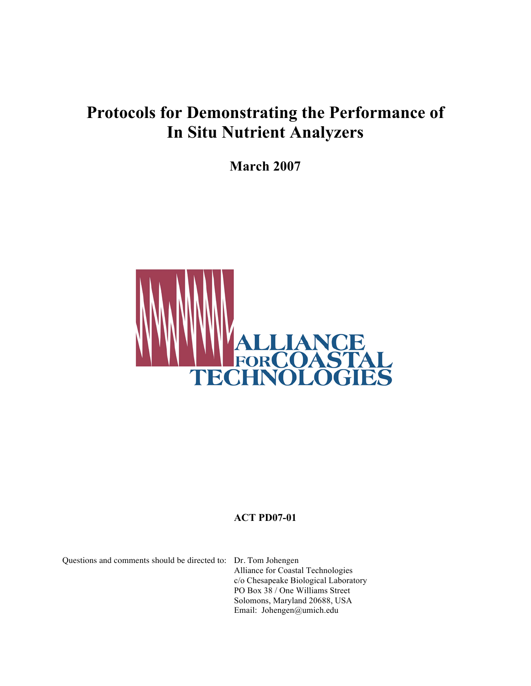# **Protocols for Demonstrating the Performance of In Situ Nutrient Analyzers**

**March 2007**



# **ACT PD07-01**

Questions and comments should be directed to: Dr. Tom Johengen

Alliance for Coastal Technologies c/o Chesapeake Biological Laboratory PO Box 38 / One Williams Street Solomons, Maryland 20688, USA Email: Johengen@umich.edu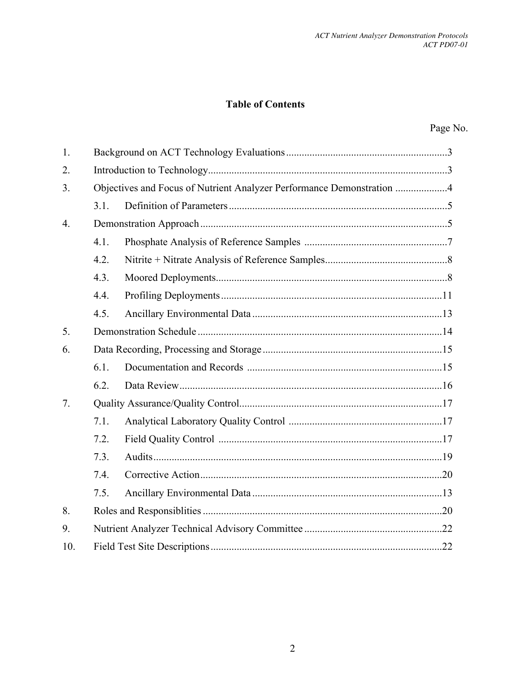# **Table of Contents**

| $\mathbf{1}$ .   |      |                                                                       |  |  |  |  |
|------------------|------|-----------------------------------------------------------------------|--|--|--|--|
| 2.               |      |                                                                       |  |  |  |  |
| 3.               |      | Objectives and Focus of Nutrient Analyzer Performance Demonstration 4 |  |  |  |  |
|                  | 3.1. |                                                                       |  |  |  |  |
| $\overline{4}$ . |      |                                                                       |  |  |  |  |
|                  | 4.1. |                                                                       |  |  |  |  |
|                  | 4.2. |                                                                       |  |  |  |  |
|                  | 4.3. |                                                                       |  |  |  |  |
|                  | 4.4. |                                                                       |  |  |  |  |
|                  | 4.5. |                                                                       |  |  |  |  |
| 5.               |      |                                                                       |  |  |  |  |
| 6.               |      |                                                                       |  |  |  |  |
|                  | 6.1. |                                                                       |  |  |  |  |
|                  | 6.2. |                                                                       |  |  |  |  |
| 7 <sub>1</sub>   |      |                                                                       |  |  |  |  |
|                  | 7.1. |                                                                       |  |  |  |  |
|                  | 7.2. |                                                                       |  |  |  |  |
|                  | 7.3. |                                                                       |  |  |  |  |
|                  | 7.4. |                                                                       |  |  |  |  |
|                  | 7.5. |                                                                       |  |  |  |  |
| 8.               |      |                                                                       |  |  |  |  |
| 9.               |      |                                                                       |  |  |  |  |
| 10.              |      |                                                                       |  |  |  |  |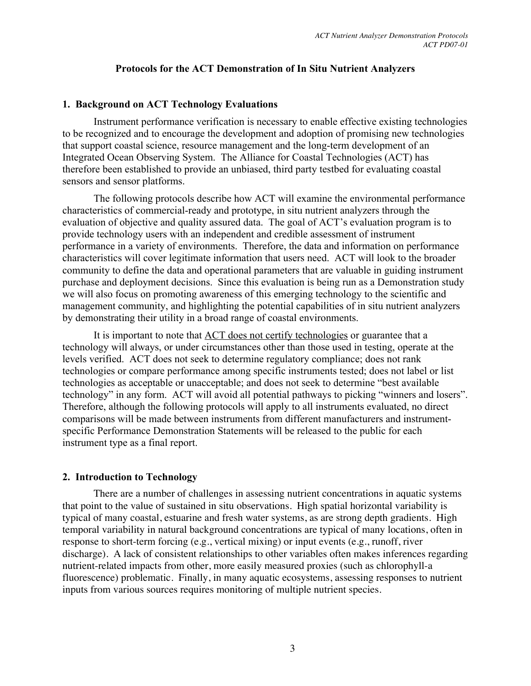#### **Protocols for the ACT Demonstration of In Situ Nutrient Analyzers**

#### **1. Background on ACT Technology Evaluations**

Instrument performance verification is necessary to enable effective existing technologies to be recognized and to encourage the development and adoption of promising new technologies that support coastal science, resource management and the long-term development of an Integrated Ocean Observing System. The Alliance for Coastal Technologies (ACT) has therefore been established to provide an unbiased, third party testbed for evaluating coastal sensors and sensor platforms.

The following protocols describe how ACT will examine the environmental performance characteristics of commercial-ready and prototype, in situ nutrient analyzers through the evaluation of objective and quality assured data. The goal of ACT's evaluation program is to provide technology users with an independent and credible assessment of instrument performance in a variety of environments. Therefore, the data and information on performance characteristics will cover legitimate information that users need. ACT will look to the broader community to define the data and operational parameters that are valuable in guiding instrument purchase and deployment decisions. Since this evaluation is being run as a Demonstration study we will also focus on promoting awareness of this emerging technology to the scientific and management community, and highlighting the potential capabilities of in situ nutrient analyzers by demonstrating their utility in a broad range of coastal environments.

It is important to note that ACT does not certify technologies or guarantee that a technology will always, or under circumstances other than those used in testing, operate at the levels verified. ACT does not seek to determine regulatory compliance; does not rank technologies or compare performance among specific instruments tested; does not label or list technologies as acceptable or unacceptable; and does not seek to determine "best available technology" in any form. ACT will avoid all potential pathways to picking "winners and losers". Therefore, although the following protocols will apply to all instruments evaluated, no direct comparisons will be made between instruments from different manufacturers and instrumentspecific Performance Demonstration Statements will be released to the public for each instrument type as a final report.

#### **2. Introduction to Technology**

There are a number of challenges in assessing nutrient concentrations in aquatic systems that point to the value of sustained in situ observations. High spatial horizontal variability is typical of many coastal, estuarine and fresh water systems, as are strong depth gradients. High temporal variability in natural background concentrations are typical of many locations, often in response to short-term forcing (e.g., vertical mixing) or input events (e.g., runoff, river discharge). A lack of consistent relationships to other variables often makes inferences regarding nutrient-related impacts from other, more easily measured proxies (such as chlorophyll-a fluorescence) problematic. Finally, in many aquatic ecosystems, assessing responses to nutrient inputs from various sources requires monitoring of multiple nutrient species.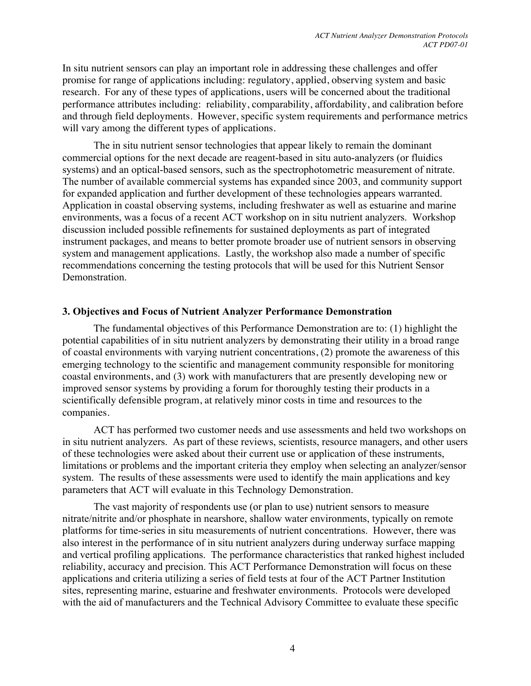In situ nutrient sensors can play an important role in addressing these challenges and offer promise for range of applications including: regulatory, applied, observing system and basic research. For any of these types of applications, users will be concerned about the traditional performance attributes including: reliability, comparability, affordability, and calibration before and through field deployments. However, specific system requirements and performance metrics will vary among the different types of applications.

The in situ nutrient sensor technologies that appear likely to remain the dominant commercial options for the next decade are reagent-based in situ auto-analyzers (or fluidics systems) and an optical-based sensors, such as the spectrophotometric measurement of nitrate. The number of available commercial systems has expanded since 2003, and community support for expanded application and further development of these technologies appears warranted. Application in coastal observing systems, including freshwater as well as estuarine and marine environments, was a focus of a recent ACT workshop on in situ nutrient analyzers. Workshop discussion included possible refinements for sustained deployments as part of integrated instrument packages, and means to better promote broader use of nutrient sensors in observing system and management applications. Lastly, the workshop also made a number of specific recommendations concerning the testing protocols that will be used for this Nutrient Sensor Demonstration.

#### **3. Objectives and Focus of Nutrient Analyzer Performance Demonstration**

The fundamental objectives of this Performance Demonstration are to: (1) highlight the potential capabilities of in situ nutrient analyzers by demonstrating their utility in a broad range of coastal environments with varying nutrient concentrations, (2) promote the awareness of this emerging technology to the scientific and management community responsible for monitoring coastal environments, and (3) work with manufacturers that are presently developing new or improved sensor systems by providing a forum for thoroughly testing their products in a scientifically defensible program, at relatively minor costs in time and resources to the companies.

ACT has performed two customer needs and use assessments and held two workshops on in situ nutrient analyzers. As part of these reviews, scientists, resource managers, and other users of these technologies were asked about their current use or application of these instruments, limitations or problems and the important criteria they employ when selecting an analyzer/sensor system. The results of these assessments were used to identify the main applications and key parameters that ACT will evaluate in this Technology Demonstration.

The vast majority of respondents use (or plan to use) nutrient sensors to measure nitrate/nitrite and/or phosphate in nearshore, shallow water environments, typically on remote platforms for time-series in situ measurements of nutrient concentrations. However, there was also interest in the performance of in situ nutrient analyzers during underway surface mapping and vertical profiling applications. The performance characteristics that ranked highest included reliability, accuracy and precision. This ACT Performance Demonstration will focus on these applications and criteria utilizing a series of field tests at four of the ACT Partner Institution sites, representing marine, estuarine and freshwater environments. Protocols were developed with the aid of manufacturers and the Technical Advisory Committee to evaluate these specific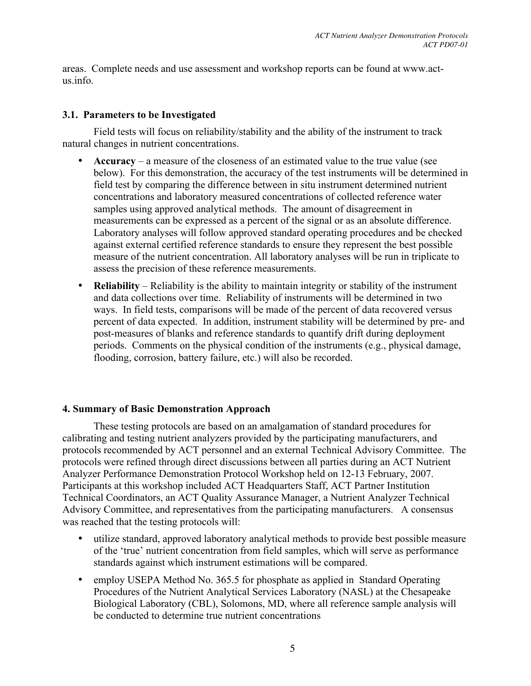areas. Complete needs and use assessment and workshop reports can be found at www.actus.info.

# **3.1. Parameters to be Investigated**

Field tests will focus on reliability/stability and the ability of the instrument to track natural changes in nutrient concentrations.

- **Accuracy**  a measure of the closeness of an estimated value to the true value (see below). For this demonstration, the accuracy of the test instruments will be determined in field test by comparing the difference between in situ instrument determined nutrient concentrations and laboratory measured concentrations of collected reference water samples using approved analytical methods. The amount of disagreement in measurements can be expressed as a percent of the signal or as an absolute difference. Laboratory analyses will follow approved standard operating procedures and be checked against external certified reference standards to ensure they represent the best possible measure of the nutrient concentration. All laboratory analyses will be run in triplicate to assess the precision of these reference measurements.
- **Reliability** Reliability is the ability to maintain integrity or stability of the instrument and data collections over time. Reliability of instruments will be determined in two ways. In field tests, comparisons will be made of the percent of data recovered versus percent of data expected. In addition, instrument stability will be determined by pre- and post-measures of blanks and reference standards to quantify drift during deployment periods. Comments on the physical condition of the instruments (e.g., physical damage, flooding, corrosion, battery failure, etc.) will also be recorded.

# **4. Summary of Basic Demonstration Approach**

These testing protocols are based on an amalgamation of standard procedures for calibrating and testing nutrient analyzers provided by the participating manufacturers, and protocols recommended by ACT personnel and an external Technical Advisory Committee. The protocols were refined through direct discussions between all parties during an ACT Nutrient Analyzer Performance Demonstration Protocol Workshop held on 12-13 February, 2007. Participants at this workshop included ACT Headquarters Staff, ACT Partner Institution Technical Coordinators, an ACT Quality Assurance Manager, a Nutrient Analyzer Technical Advisory Committee, and representatives from the participating manufacturers. A consensus was reached that the testing protocols will:

- utilize standard, approved laboratory analytical methods to provide best possible measure of the 'true' nutrient concentration from field samples, which will serve as performance standards against which instrument estimations will be compared.
- employ USEPA Method No. 365.5 for phosphate as applied in Standard Operating Procedures of the Nutrient Analytical Services Laboratory (NASL) at the Chesapeake Biological Laboratory (CBL), Solomons, MD, where all reference sample analysis will be conducted to determine true nutrient concentrations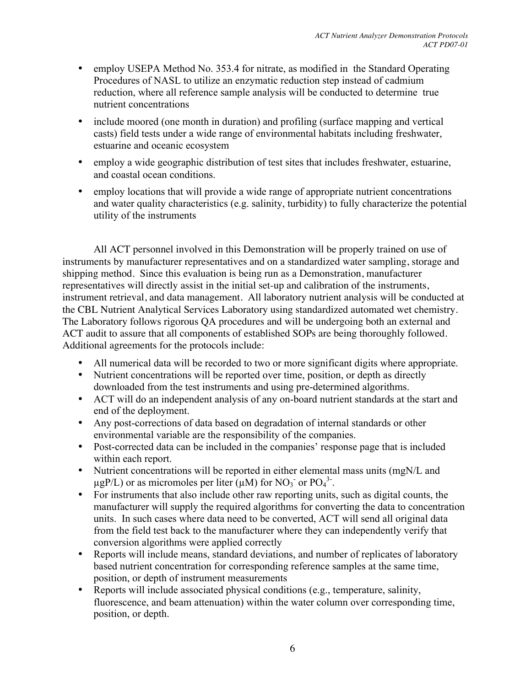- employ USEPA Method No. 353.4 for nitrate, as modified in the Standard Operating Procedures of NASL to utilize an enzymatic reduction step instead of cadmium reduction, where all reference sample analysis will be conducted to determine true nutrient concentrations
- include moored (one month in duration) and profiling (surface mapping and vertical casts) field tests under a wide range of environmental habitats including freshwater, estuarine and oceanic ecosystem
- employ a wide geographic distribution of test sites that includes freshwater, estuarine, and coastal ocean conditions.
- employ locations that will provide a wide range of appropriate nutrient concentrations and water quality characteristics (e.g. salinity, turbidity) to fully characterize the potential utility of the instruments

All ACT personnel involved in this Demonstration will be properly trained on use of instruments by manufacturer representatives and on a standardized water sampling, storage and shipping method. Since this evaluation is being run as a Demonstration, manufacturer representatives will directly assist in the initial set-up and calibration of the instruments, instrument retrieval, and data management. All laboratory nutrient analysis will be conducted at the CBL Nutrient Analytical Services Laboratory using standardized automated wet chemistry. The Laboratory follows rigorous QA procedures and will be undergoing both an external and ACT audit to assure that all components of established SOPs are being thoroughly followed. Additional agreements for the protocols include:

- All numerical data will be recorded to two or more significant digits where appropriate.
- Nutrient concentrations will be reported over time, position, or depth as directly downloaded from the test instruments and using pre-determined algorithms.
- ACT will do an independent analysis of any on-board nutrient standards at the start and end of the deployment.
- Any post-corrections of data based on degradation of internal standards or other environmental variable are the responsibility of the companies.
- Post-corrected data can be included in the companies' response page that is included within each report.
- Nutrient concentrations will be reported in either elemental mass units (mgN/L and  $\mu$ gP/L) or as micromoles per liter ( $\mu$ M) for NO<sub>3</sub> or PO<sub>4</sub><sup>3</sup>.
- For instruments that also include other raw reporting units, such as digital counts, the manufacturer will supply the required algorithms for converting the data to concentration units. In such cases where data need to be converted, ACT will send all original data from the field test back to the manufacturer where they can independently verify that conversion algorithms were applied correctly
- Reports will include means, standard deviations, and number of replicates of laboratory based nutrient concentration for corresponding reference samples at the same time, position, or depth of instrument measurements
- Reports will include associated physical conditions (e.g., temperature, salinity, fluorescence, and beam attenuation) within the water column over corresponding time, position, or depth.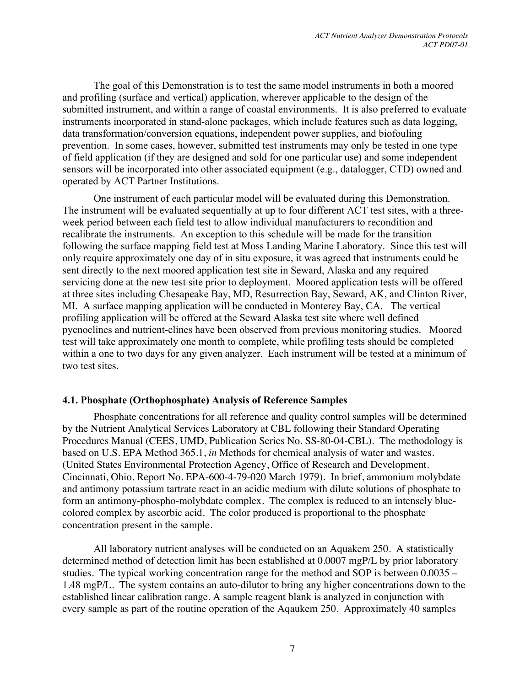The goal of this Demonstration is to test the same model instruments in both a moored and profiling (surface and vertical) application, wherever applicable to the design of the submitted instrument, and within a range of coastal environments. It is also preferred to evaluate instruments incorporated in stand-alone packages, which include features such as data logging, data transformation/conversion equations, independent power supplies, and biofouling prevention. In some cases, however, submitted test instruments may only be tested in one type of field application (if they are designed and sold for one particular use) and some independent sensors will be incorporated into other associated equipment (e.g., datalogger, CTD) owned and operated by ACT Partner Institutions.

One instrument of each particular model will be evaluated during this Demonstration. The instrument will be evaluated sequentially at up to four different ACT test sites, with a threeweek period between each field test to allow individual manufacturers to recondition and recalibrate the instruments. An exception to this schedule will be made for the transition following the surface mapping field test at Moss Landing Marine Laboratory. Since this test will only require approximately one day of in situ exposure, it was agreed that instruments could be sent directly to the next moored application test site in Seward, Alaska and any required servicing done at the new test site prior to deployment. Moored application tests will be offered at three sites including Chesapeake Bay, MD, Resurrection Bay, Seward, AK, and Clinton River, MI. A surface mapping application will be conducted in Monterey Bay, CA. The vertical profiling application will be offered at the Seward Alaska test site where well defined pycnoclines and nutrient-clines have been observed from previous monitoring studies. Moored test will take approximately one month to complete, while profiling tests should be completed within a one to two days for any given analyzer. Each instrument will be tested at a minimum of two test sites.

#### **4.1. Phosphate (Orthophosphate) Analysis of Reference Samples**

Phosphate concentrations for all reference and quality control samples will be determined by the Nutrient Analytical Services Laboratory at CBL following their Standard Operating Procedures Manual (CEES, UMD, Publication Series No. SS-80-04-CBL). The methodology is based on U.S. EPA Method 365.1, *in* Methods for chemical analysis of water and wastes. (United States Environmental Protection Agency, Office of Research and Development. Cincinnati, Ohio. Report No. EPA-600-4-79-020 March 1979). In brief, ammonium molybdate and antimony potassium tartrate react in an acidic medium with dilute solutions of phosphate to form an antimony-phospho-molybdate complex. The complex is reduced to an intensely bluecolored complex by ascorbic acid. The color produced is proportional to the phosphate concentration present in the sample.

All laboratory nutrient analyses will be conducted on an Aquakem 250. A statistically determined method of detection limit has been established at 0.0007 mgP/L by prior laboratory studies. The typical working concentration range for the method and SOP is between 0.0035 – 1.48 mgP/L. The system contains an auto-dilutor to bring any higher concentrations down to the established linear calibration range. A sample reagent blank is analyzed in conjunction with every sample as part of the routine operation of the Aqaukem 250. Approximately 40 samples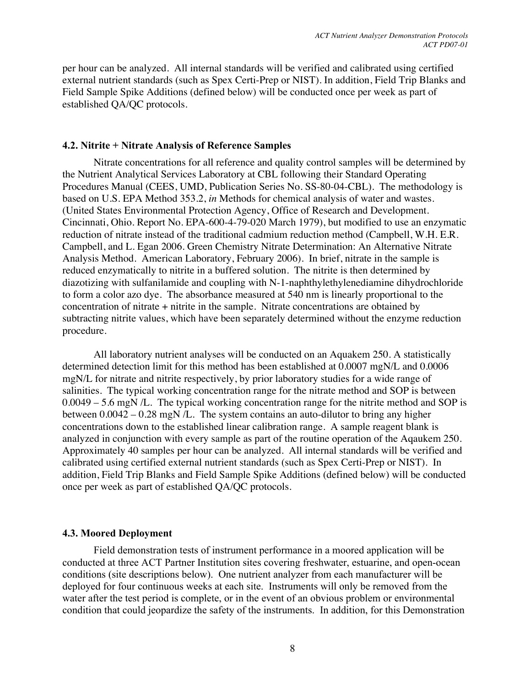per hour can be analyzed. All internal standards will be verified and calibrated using certified external nutrient standards (such as Spex Certi-Prep or NIST). In addition, Field Trip Blanks and Field Sample Spike Additions (defined below) will be conducted once per week as part of established QA/QC protocols.

#### **4.2. Nitrite + Nitrate Analysis of Reference Samples**

Nitrate concentrations for all reference and quality control samples will be determined by the Nutrient Analytical Services Laboratory at CBL following their Standard Operating Procedures Manual (CEES, UMD, Publication Series No. SS-80-04-CBL). The methodology is based on U.S. EPA Method 353.2, *in* Methods for chemical analysis of water and wastes. (United States Environmental Protection Agency, Office of Research and Development. Cincinnati, Ohio. Report No. EPA-600-4-79-020 March 1979), but modified to use an enzymatic reduction of nitrate instead of the traditional cadmium reduction method (Campbell, W.H. E.R. Campbell, and L. Egan 2006. Green Chemistry Nitrate Determination: An Alternative Nitrate Analysis Method. American Laboratory, February 2006). In brief, nitrate in the sample is reduced enzymatically to nitrite in a buffered solution. The nitrite is then determined by diazotizing with sulfanilamide and coupling with N-1-naphthylethylenediamine dihydrochloride to form a color azo dye. The absorbance measured at 540 nm is linearly proportional to the concentration of nitrate + nitrite in the sample. Nitrate concentrations are obtained by subtracting nitrite values, which have been separately determined without the enzyme reduction procedure.

All laboratory nutrient analyses will be conducted on an Aquakem 250. A statistically determined detection limit for this method has been established at 0.0007 mgN/L and 0.0006 mgN/L for nitrate and nitrite respectively, by prior laboratory studies for a wide range of salinities. The typical working concentration range for the nitrate method and SOP is between 0.0049 – 5.6 mgN /L. The typical working concentration range for the nitrite method and SOP is between 0.0042 – 0.28 mgN /L. The system contains an auto-dilutor to bring any higher concentrations down to the established linear calibration range. A sample reagent blank is analyzed in conjunction with every sample as part of the routine operation of the Aqaukem 250. Approximately 40 samples per hour can be analyzed. All internal standards will be verified and calibrated using certified external nutrient standards (such as Spex Certi-Prep or NIST). In addition, Field Trip Blanks and Field Sample Spike Additions (defined below) will be conducted once per week as part of established QA/QC protocols.

#### **4.3. Moored Deployment**

Field demonstration tests of instrument performance in a moored application will be conducted at three ACT Partner Institution sites covering freshwater, estuarine, and open-ocean conditions (site descriptions below). One nutrient analyzer from each manufacturer will be deployed for four continuous weeks at each site. Instruments will only be removed from the water after the test period is complete, or in the event of an obvious problem or environmental condition that could jeopardize the safety of the instruments. In addition, for this Demonstration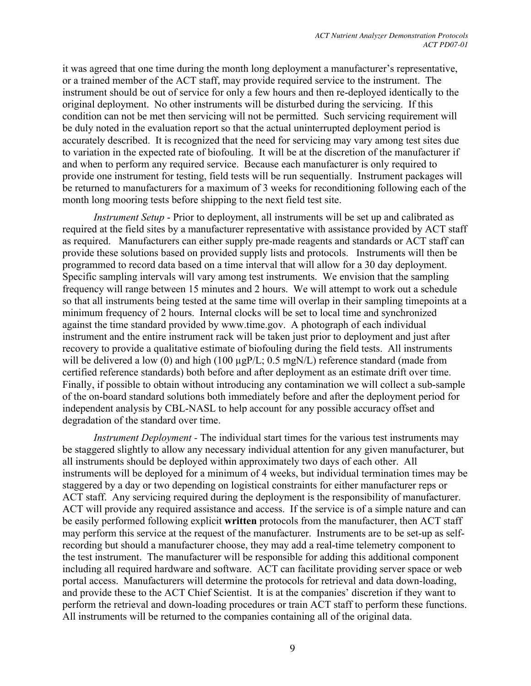it was agreed that one time during the month long deployment a manufacturer's representative, or a trained member of the ACT staff, may provide required service to the instrument. The instrument should be out of service for only a few hours and then re-deployed identically to the original deployment. No other instruments will be disturbed during the servicing. If this condition can not be met then servicing will not be permitted. Such servicing requirement will be duly noted in the evaluation report so that the actual uninterrupted deployment period is accurately described. It is recognized that the need for servicing may vary among test sites due to variation in the expected rate of biofouling. It will be at the discretion of the manufacturer if and when to perform any required service. Because each manufacturer is only required to provide one instrument for testing, field tests will be run sequentially. Instrument packages will be returned to manufacturers for a maximum of 3 weeks for reconditioning following each of the month long mooring tests before shipping to the next field test site.

*Instrument Setup* - Prior to deployment, all instruments will be set up and calibrated as required at the field sites by a manufacturer representative with assistance provided by ACT staff as required. Manufacturers can either supply pre-made reagents and standards or ACT staff can provide these solutions based on provided supply lists and protocols. Instruments will then be programmed to record data based on a time interval that will allow for a 30 day deployment. Specific sampling intervals will vary among test instruments. We envision that the sampling frequency will range between 15 minutes and 2 hours. We will attempt to work out a schedule so that all instruments being tested at the same time will overlap in their sampling timepoints at a minimum frequency of 2 hours. Internal clocks will be set to local time and synchronized against the time standard provided by www.time.gov. A photograph of each individual instrument and the entire instrument rack will be taken just prior to deployment and just after recovery to provide a qualitative estimate of biofouling during the field tests. All instruments will be delivered a low (0) and high (100  $\mu$ gP/L; 0.5 mgN/L) reference standard (made from certified reference standards) both before and after deployment as an estimate drift over time. Finally, if possible to obtain without introducing any contamination we will collect a sub-sample of the on-board standard solutions both immediately before and after the deployment period for independent analysis by CBL-NASL to help account for any possible accuracy offset and degradation of the standard over time.

*Instrument Deployment -* The individual start times for the various test instruments may be staggered slightly to allow any necessary individual attention for any given manufacturer, but all instruments should be deployed within approximately two days of each other. All instruments will be deployed for a minimum of 4 weeks, but individual termination times may be staggered by a day or two depending on logistical constraints for either manufacturer reps or ACT staff. Any servicing required during the deployment is the responsibility of manufacturer. ACT will provide any required assistance and access. If the service is of a simple nature and can be easily performed following explicit **written** protocols from the manufacturer, then ACT staff may perform this service at the request of the manufacturer. Instruments are to be set-up as selfrecording but should a manufacturer choose, they may add a real-time telemetry component to the test instrument. The manufacturer will be responsible for adding this additional component including all required hardware and software. ACT can facilitate providing server space or web portal access. Manufacturers will determine the protocols for retrieval and data down-loading, and provide these to the ACT Chief Scientist. It is at the companies' discretion if they want to perform the retrieval and down-loading procedures or train ACT staff to perform these functions. All instruments will be returned to the companies containing all of the original data.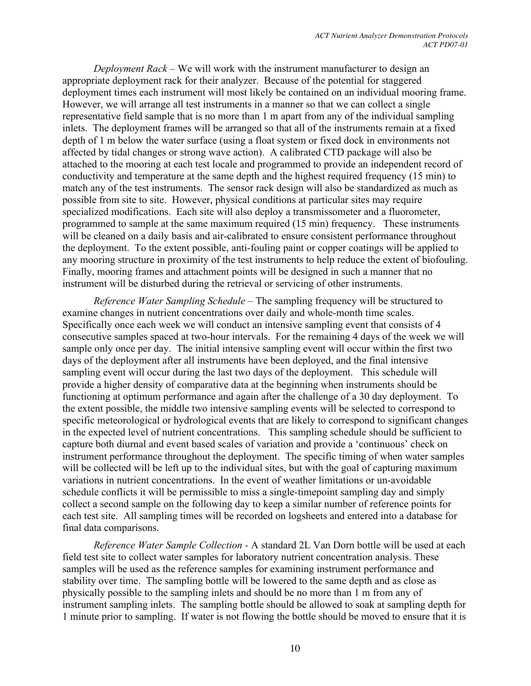*Deployment Rack* – We will work with the instrument manufacturer to design an appropriate deployment rack for their analyzer. Because of the potential for staggered deployment times each instrument will most likely be contained on an individual mooring frame. However, we will arrange all test instruments in a manner so that we can collect a single representative field sample that is no more than 1 m apart from any of the individual sampling inlets. The deployment frames will be arranged so that all of the instruments remain at a fixed depth of 1 m below the water surface (using a float system or fixed dock in environments not affected by tidal changes or strong wave action). A calibrated CTD package will also be attached to the mooring at each test locale and programmed to provide an independent record of conductivity and temperature at the same depth and the highest required frequency (15 min) to match any of the test instruments. The sensor rack design will also be standardized as much as possible from site to site. However, physical conditions at particular sites may require specialized modifications. Each site will also deploy a transmissometer and a fluorometer, programmed to sample at the same maximum required (15 min) frequency. These instruments will be cleaned on a daily basis and air-calibrated to ensure consistent performance throughout the deployment. To the extent possible, anti-fouling paint or copper coatings will be applied to any mooring structure in proximity of the test instruments to help reduce the extent of biofouling. Finally, mooring frames and attachment points will be designed in such a manner that no instrument will be disturbed during the retrieval or servicing of other instruments.

*Reference Water Sampling Schedule –* The sampling frequency will be structured to examine changes in nutrient concentrations over daily and whole-month time scales. Specifically once each week we will conduct an intensive sampling event that consists of 4 consecutive samples spaced at two-hour intervals. For the remaining 4 days of the week we will sample only once per day. The initial intensive sampling event will occur within the first two days of the deployment after all instruments have been deployed, and the final intensive sampling event will occur during the last two days of the deployment. This schedule will provide a higher density of comparative data at the beginning when instruments should be functioning at optimum performance and again after the challenge of a 30 day deployment. To the extent possible, the middle two intensive sampling events will be selected to correspond to specific meteorological or hydrological events that are likely to correspond to significant changes in the expected level of nutrient concentrations. This sampling schedule should be sufficient to capture both diurnal and event based scales of variation and provide a 'continuous' check on instrument performance throughout the deployment. The specific timing of when water samples will be collected will be left up to the individual sites, but with the goal of capturing maximum variations in nutrient concentrations. In the event of weather limitations or un-avoidable schedule conflicts it will be permissible to miss a single-timepoint sampling day and simply collect a second sample on the following day to keep a similar number of reference points for each test site. All sampling times will be recorded on logsheets and entered into a database for final data comparisons.

*Reference Water Sample Collection -* A standard 2L Van Dorn bottle will be used at each field test site to collect water samples for laboratory nutrient concentration analysis. These samples will be used as the reference samples for examining instrument performance and stability over time. The sampling bottle will be lowered to the same depth and as close as physically possible to the sampling inlets and should be no more than 1 m from any of instrument sampling inlets. The sampling bottle should be allowed to soak at sampling depth for 1 minute prior to sampling. If water is not flowing the bottle should be moved to ensure that it is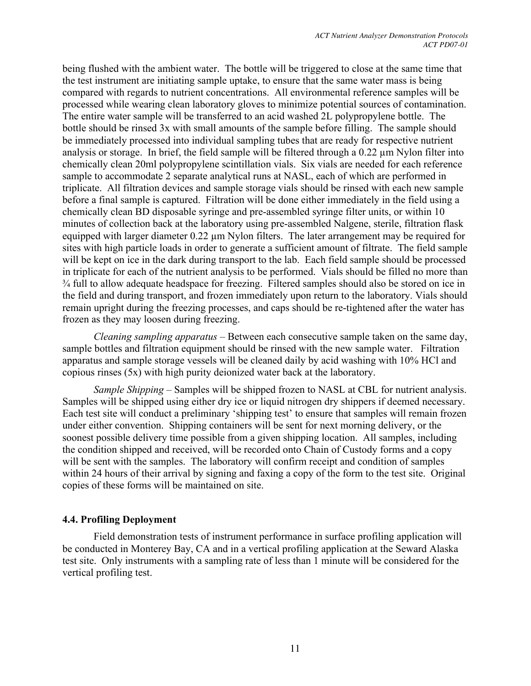being flushed with the ambient water. The bottle will be triggered to close at the same time that the test instrument are initiating sample uptake, to ensure that the same water mass is being compared with regards to nutrient concentrations. All environmental reference samples will be processed while wearing clean laboratory gloves to minimize potential sources of contamination. The entire water sample will be transferred to an acid washed 2L polypropylene bottle. The bottle should be rinsed 3x with small amounts of the sample before filling. The sample should be immediately processed into individual sampling tubes that are ready for respective nutrient analysis or storage. In brief, the field sample will be filtered through a 0.22 µm Nylon filter into chemically clean 20ml polypropylene scintillation vials. Six vials are needed for each reference sample to accommodate 2 separate analytical runs at NASL, each of which are performed in triplicate. All filtration devices and sample storage vials should be rinsed with each new sample before a final sample is captured. Filtration will be done either immediately in the field using a chemically clean BD disposable syringe and pre-assembled syringe filter units, or within 10 minutes of collection back at the laboratory using pre-assembled Nalgene, sterile, filtration flask equipped with larger diameter 0.22 µm Nylon filters. The later arrangement may be required for sites with high particle loads in order to generate a sufficient amount of filtrate. The field sample will be kept on ice in the dark during transport to the lab. Each field sample should be processed in triplicate for each of the nutrient analysis to be performed. Vials should be filled no more than ¾ full to allow adequate headspace for freezing. Filtered samples should also be stored on ice in the field and during transport, and frozen immediately upon return to the laboratory. Vials should remain upright during the freezing processes, and caps should be re-tightened after the water has frozen as they may loosen during freezing.

*Cleaning sampling apparatus* – Between each consecutive sample taken on the same day, sample bottles and filtration equipment should be rinsed with the new sample water. Filtration apparatus and sample storage vessels will be cleaned daily by acid washing with 10% HCl and copious rinses (5x) with high purity deionized water back at the laboratory.

*Sample Shipping* – Samples will be shipped frozen to NASL at CBL for nutrient analysis. Samples will be shipped using either dry ice or liquid nitrogen dry shippers if deemed necessary. Each test site will conduct a preliminary 'shipping test' to ensure that samples will remain frozen under either convention. Shipping containers will be sent for next morning delivery, or the soonest possible delivery time possible from a given shipping location. All samples, including the condition shipped and received, will be recorded onto Chain of Custody forms and a copy will be sent with the samples. The laboratory will confirm receipt and condition of samples within 24 hours of their arrival by signing and faxing a copy of the form to the test site. Original copies of these forms will be maintained on site.

#### **4.4. Profiling Deployment**

Field demonstration tests of instrument performance in surface profiling application will be conducted in Monterey Bay, CA and in a vertical profiling application at the Seward Alaska test site. Only instruments with a sampling rate of less than 1 minute will be considered for the vertical profiling test.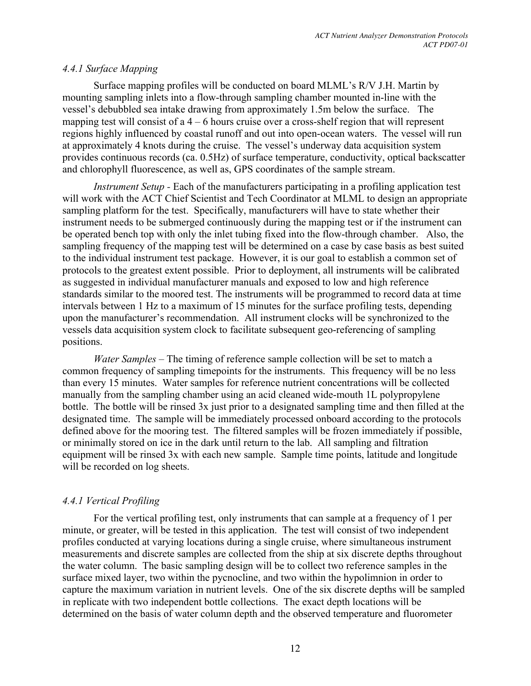# *4.4.1 Surface Mapping*

Surface mapping profiles will be conducted on board MLML's R/V J.H. Martin by mounting sampling inlets into a flow-through sampling chamber mounted in-line with the vessel's debubbled sea intake drawing from approximately 1.5m below the surface. The mapping test will consist of  $a$  4 – 6 hours cruise over a cross-shelf region that will represent regions highly influenced by coastal runoff and out into open-ocean waters. The vessel will run at approximately 4 knots during the cruise. The vessel's underway data acquisition system provides continuous records (ca. 0.5Hz) of surface temperature, conductivity, optical backscatter and chlorophyll fluorescence, as well as, GPS coordinates of the sample stream.

*Instrument Setup -* Each of the manufacturers participating in a profiling application test will work with the ACT Chief Scientist and Tech Coordinator at MLML to design an appropriate sampling platform for the test. Specifically, manufacturers will have to state whether their instrument needs to be submerged continuously during the mapping test or if the instrument can be operated bench top with only the inlet tubing fixed into the flow-through chamber. Also, the sampling frequency of the mapping test will be determined on a case by case basis as best suited to the individual instrument test package. However, it is our goal to establish a common set of protocols to the greatest extent possible. Prior to deployment, all instruments will be calibrated as suggested in individual manufacturer manuals and exposed to low and high reference standards similar to the moored test. The instruments will be programmed to record data at time intervals between 1 Hz to a maximum of 15 minutes for the surface profiling tests, depending upon the manufacturer's recommendation. All instrument clocks will be synchronized to the vessels data acquisition system clock to facilitate subsequent geo-referencing of sampling positions.

*Water Samples –* The timing of reference sample collection will be set to match a common frequency of sampling timepoints for the instruments. This frequency will be no less than every 15 minutes. Water samples for reference nutrient concentrations will be collected manually from the sampling chamber using an acid cleaned wide-mouth 1L polypropylene bottle. The bottle will be rinsed 3x just prior to a designated sampling time and then filled at the designated time. The sample will be immediately processed onboard according to the protocols defined above for the mooring test. The filtered samples will be frozen immediately if possible, or minimally stored on ice in the dark until return to the lab. All sampling and filtration equipment will be rinsed 3x with each new sample. Sample time points, latitude and longitude will be recorded on log sheets.

# *4.4.1 Vertical Profiling*

For the vertical profiling test, only instruments that can sample at a frequency of 1 per minute, or greater, will be tested in this application. The test will consist of two independent profiles conducted at varying locations during a single cruise, where simultaneous instrument measurements and discrete samples are collected from the ship at six discrete depths throughout the water column. The basic sampling design will be to collect two reference samples in the surface mixed layer, two within the pycnocline, and two within the hypolimnion in order to capture the maximum variation in nutrient levels. One of the six discrete depths will be sampled in replicate with two independent bottle collections. The exact depth locations will be determined on the basis of water column depth and the observed temperature and fluorometer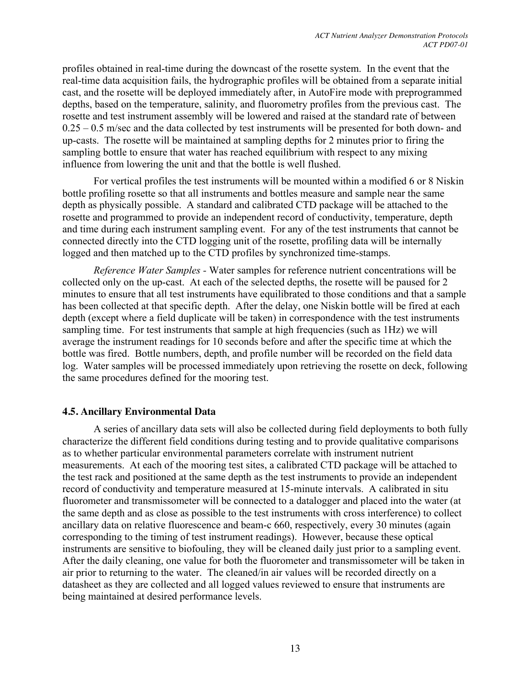profiles obtained in real-time during the downcast of the rosette system. In the event that the real-time data acquisition fails, the hydrographic profiles will be obtained from a separate initial cast, and the rosette will be deployed immediately after, in AutoFire mode with preprogrammed depths, based on the temperature, salinity, and fluorometry profiles from the previous cast. The rosette and test instrument assembly will be lowered and raised at the standard rate of between 0.25 – 0.5 m/sec and the data collected by test instruments will be presented for both down- and up-casts. The rosette will be maintained at sampling depths for 2 minutes prior to firing the sampling bottle to ensure that water has reached equilibrium with respect to any mixing influence from lowering the unit and that the bottle is well flushed.

For vertical profiles the test instruments will be mounted within a modified 6 or 8 Niskin bottle profiling rosette so that all instruments and bottles measure and sample near the same depth as physically possible. A standard and calibrated CTD package will be attached to the rosette and programmed to provide an independent record of conductivity, temperature, depth and time during each instrument sampling event. For any of the test instruments that cannot be connected directly into the CTD logging unit of the rosette, profiling data will be internally logged and then matched up to the CTD profiles by synchronized time-stamps.

*Reference Water Samples -* Water samples for reference nutrient concentrations will be collected only on the up-cast. At each of the selected depths, the rosette will be paused for 2 minutes to ensure that all test instruments have equilibrated to those conditions and that a sample has been collected at that specific depth. After the delay, one Niskin bottle will be fired at each depth (except where a field duplicate will be taken) in correspondence with the test instruments sampling time. For test instruments that sample at high frequencies (such as 1Hz) we will average the instrument readings for 10 seconds before and after the specific time at which the bottle was fired. Bottle numbers, depth, and profile number will be recorded on the field data log. Water samples will be processed immediately upon retrieving the rosette on deck, following the same procedures defined for the mooring test.

#### **4.5. Ancillary Environmental Data**

A series of ancillary data sets will also be collected during field deployments to both fully characterize the different field conditions during testing and to provide qualitative comparisons as to whether particular environmental parameters correlate with instrument nutrient measurements. At each of the mooring test sites, a calibrated CTD package will be attached to the test rack and positioned at the same depth as the test instruments to provide an independent record of conductivity and temperature measured at 15-minute intervals. A calibrated in situ fluorometer and transmissometer will be connected to a datalogger and placed into the water (at the same depth and as close as possible to the test instruments with cross interference) to collect ancillary data on relative fluorescence and beam-c 660, respectively, every 30 minutes (again corresponding to the timing of test instrument readings). However, because these optical instruments are sensitive to biofouling, they will be cleaned daily just prior to a sampling event. After the daily cleaning, one value for both the fluorometer and transmissometer will be taken in air prior to returning to the water. The cleaned/in air values will be recorded directly on a datasheet as they are collected and all logged values reviewed to ensure that instruments are being maintained at desired performance levels.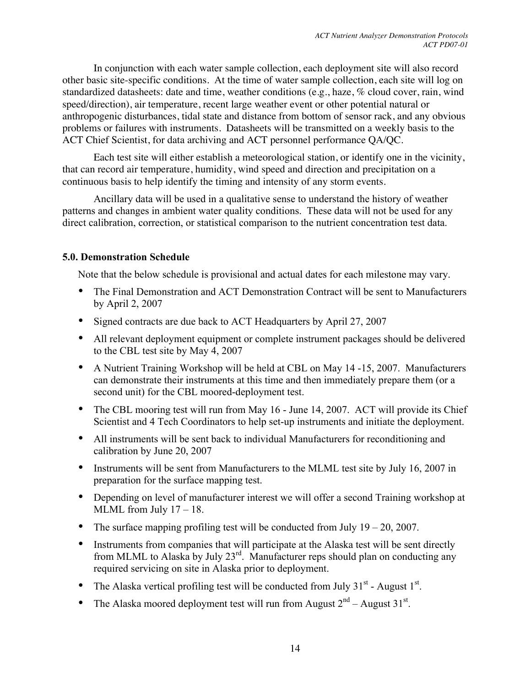In conjunction with each water sample collection, each deployment site will also record other basic site-specific conditions. At the time of water sample collection, each site will log on standardized datasheets: date and time, weather conditions (e.g., haze, % cloud cover, rain, wind speed/direction), air temperature, recent large weather event or other potential natural or anthropogenic disturbances, tidal state and distance from bottom of sensor rack, and any obvious problems or failures with instruments. Datasheets will be transmitted on a weekly basis to the ACT Chief Scientist, for data archiving and ACT personnel performance QA/QC.

Each test site will either establish a meteorological station, or identify one in the vicinity, that can record air temperature, humidity, wind speed and direction and precipitation on a continuous basis to help identify the timing and intensity of any storm events.

Ancillary data will be used in a qualitative sense to understand the history of weather patterns and changes in ambient water quality conditions. These data will not be used for any direct calibration, correction, or statistical comparison to the nutrient concentration test data.

# **5.0. Demonstration Schedule**

Note that the below schedule is provisional and actual dates for each milestone may vary.

- The Final Demonstration and ACT Demonstration Contract will be sent to Manufacturers by April 2, 2007
- Signed contracts are due back to ACT Headquarters by April 27, 2007
- All relevant deployment equipment or complete instrument packages should be delivered to the CBL test site by May 4, 2007
- A Nutrient Training Workshop will be held at CBL on May 14-15, 2007. Manufacturers can demonstrate their instruments at this time and then immediately prepare them (or a second unit) for the CBL moored-deployment test.
- The CBL mooring test will run from May 16 June 14, 2007. ACT will provide its Chief Scientist and 4 Tech Coordinators to help set-up instruments and initiate the deployment.
- All instruments will be sent back to individual Manufacturers for reconditioning and calibration by June 20, 2007
- Instruments will be sent from Manufacturers to the MLML test site by July 16, 2007 in preparation for the surface mapping test.
- Depending on level of manufacturer interest we will offer a second Training workshop at MLML from July 17 – 18.
- The surface mapping profiling test will be conducted from July  $19 20$ , 2007.
- Instruments from companies that will participate at the Alaska test will be sent directly from MLML to Alaska by July 23<sup>rd</sup>. Manufacturer reps should plan on conducting any required servicing on site in Alaska prior to deployment.
- The Alaska vertical profiling test will be conducted from July  $31<sup>st</sup>$  August  $1<sup>st</sup>$ .
- The Alaska moored deployment test will run from August  $2<sup>nd</sup>$  August 31<sup>st</sup>.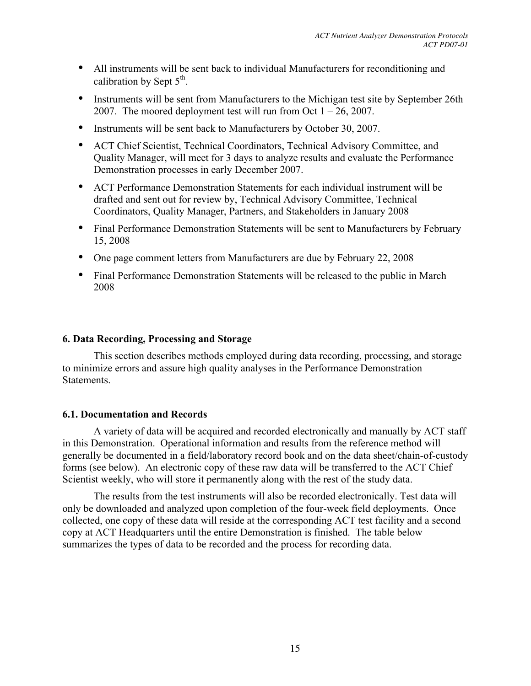- All instruments will be sent back to individual Manufacturers for reconditioning and calibration by Sept  $5<sup>th</sup>$ .
- Instruments will be sent from Manufacturers to the Michigan test site by September 26th 2007. The moored deployment test will run from Oct  $1 - 26$ , 2007.
- Instruments will be sent back to Manufacturers by October 30, 2007.
- ACT Chief Scientist, Technical Coordinators, Technical Advisory Committee, and Quality Manager, will meet for 3 days to analyze results and evaluate the Performance Demonstration processes in early December 2007.
- ACT Performance Demonstration Statements for each individual instrument will be drafted and sent out for review by, Technical Advisory Committee, Technical Coordinators, Quality Manager, Partners, and Stakeholders in January 2008
- Final Performance Demonstration Statements will be sent to Manufacturers by February 15, 2008
- One page comment letters from Manufacturers are due by February 22, 2008
- Final Performance Demonstration Statements will be released to the public in March 2008

#### **6. Data Recording, Processing and Storage**

This section describes methods employed during data recording, processing, and storage to minimize errors and assure high quality analyses in the Performance Demonstration **Statements** 

#### **6.1. Documentation and Records**

A variety of data will be acquired and recorded electronically and manually by ACT staff in this Demonstration. Operational information and results from the reference method will generally be documented in a field/laboratory record book and on the data sheet/chain-of-custody forms (see below). An electronic copy of these raw data will be transferred to the ACT Chief Scientist weekly, who will store it permanently along with the rest of the study data.

The results from the test instruments will also be recorded electronically. Test data will only be downloaded and analyzed upon completion of the four-week field deployments. Once collected, one copy of these data will reside at the corresponding ACT test facility and a second copy at ACT Headquarters until the entire Demonstration is finished. The table below summarizes the types of data to be recorded and the process for recording data.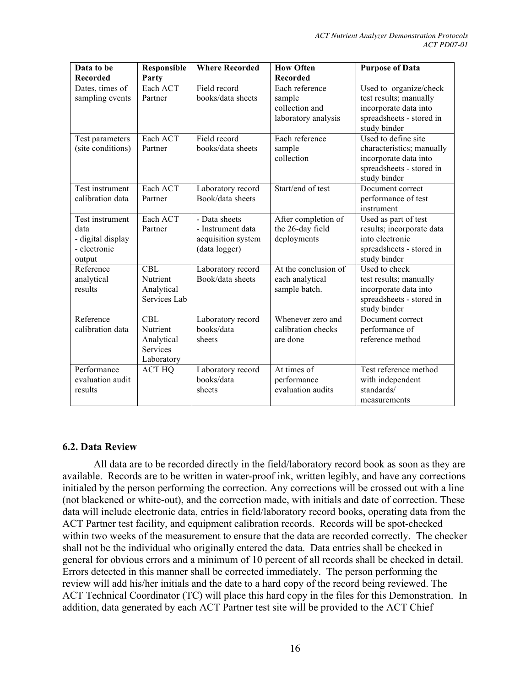| Data to be<br><b>Recorded</b>                                          | Responsible<br>Party                                                  | <b>Where Recorded</b>                                                     | <b>How Often</b><br><b>Recorded</b>                               | <b>Purpose of Data</b>                                                                                                |
|------------------------------------------------------------------------|-----------------------------------------------------------------------|---------------------------------------------------------------------------|-------------------------------------------------------------------|-----------------------------------------------------------------------------------------------------------------------|
| Dates, times of<br>sampling events                                     | Each ACT<br>Partner                                                   | Field record<br>books/data sheets                                         | Each reference<br>sample<br>collection and<br>laboratory analysis | Used to organize/check<br>test results; manually<br>incorporate data into<br>spreadsheets - stored in<br>study binder |
| Test parameters<br>(site conditions)                                   | Each ACT<br>Partner                                                   | Field record<br>books/data sheets                                         | Each reference<br>sample<br>collection                            | Used to define site<br>characteristics; manually<br>incorporate data into<br>spreadsheets - stored in<br>study binder |
| Test instrument<br>calibration data                                    | Each ACT<br>Partner                                                   | Laboratory record<br>Book/data sheets                                     | Start/end of test                                                 | Document correct<br>performance of test<br>instrument                                                                 |
| Test instrument<br>data<br>- digital display<br>- electronic<br>output | Each ACT<br>Partner                                                   | - Data sheets<br>- Instrument data<br>acquisition system<br>(data logger) | After completion of<br>the 26-day field<br>deployments            | Used as part of test<br>results; incorporate data<br>into electronic<br>spreadsheets - stored in<br>study binder      |
| Reference<br>analytical<br>results                                     | <b>CBL</b><br>Nutrient<br>Analytical<br>Services Lab                  | Laboratory record<br>Book/data sheets                                     | At the conclusion of<br>each analytical<br>sample batch.          | Used to check<br>test results; manually<br>incorporate data into<br>spreadsheets - stored in<br>study binder          |
| Reference<br>calibration data                                          | <b>CBL</b><br>Nutrient<br>Analytical<br><b>Services</b><br>Laboratory | Laboratory record<br>books/data<br>sheets                                 | Whenever zero and<br>calibration checks<br>are done               | Document correct<br>performance of<br>reference method                                                                |
| Performance<br>evaluation audit<br>results                             | <b>ACT HQ</b>                                                         | Laboratory record<br>books/data<br>sheets                                 | At times of<br>performance<br>evaluation audits                   | Test reference method<br>with independent<br>standards/<br>measurements                                               |

# **6.2. Data Review**

All data are to be recorded directly in the field/laboratory record book as soon as they are available. Records are to be written in water-proof ink, written legibly, and have any corrections initialed by the person performing the correction. Any corrections will be crossed out with a line (not blackened or white-out), and the correction made, with initials and date of correction. These data will include electronic data, entries in field/laboratory record books, operating data from the ACT Partner test facility, and equipment calibration records. Records will be spot-checked within two weeks of the measurement to ensure that the data are recorded correctly. The checker shall not be the individual who originally entered the data. Data entries shall be checked in general for obvious errors and a minimum of 10 percent of all records shall be checked in detail. Errors detected in this manner shall be corrected immediately. The person performing the review will add his/her initials and the date to a hard copy of the record being reviewed. The ACT Technical Coordinator (TC) will place this hard copy in the files for this Demonstration. In addition, data generated by each ACT Partner test site will be provided to the ACT Chief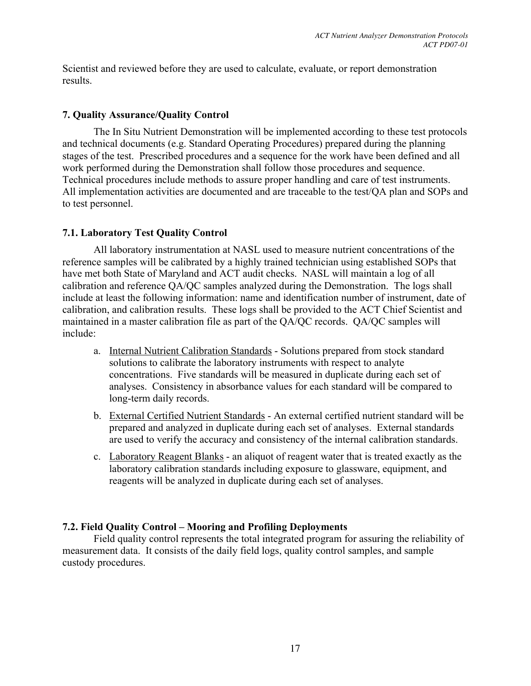Scientist and reviewed before they are used to calculate, evaluate, or report demonstration results.

#### **7. Quality Assurance/Quality Control**

The In Situ Nutrient Demonstration will be implemented according to these test protocols and technical documents (e.g. Standard Operating Procedures) prepared during the planning stages of the test. Prescribed procedures and a sequence for the work have been defined and all work performed during the Demonstration shall follow those procedures and sequence. Technical procedures include methods to assure proper handling and care of test instruments. All implementation activities are documented and are traceable to the test/QA plan and SOPs and to test personnel.

# **7.1. Laboratory Test Quality Control**

All laboratory instrumentation at NASL used to measure nutrient concentrations of the reference samples will be calibrated by a highly trained technician using established SOPs that have met both State of Maryland and ACT audit checks. NASL will maintain a log of all calibration and reference QA/QC samples analyzed during the Demonstration. The logs shall include at least the following information: name and identification number of instrument, date of calibration, and calibration results. These logs shall be provided to the ACT Chief Scientist and maintained in a master calibration file as part of the QA/QC records. QA/QC samples will include:

- a. Internal Nutrient Calibration Standards Solutions prepared from stock standard solutions to calibrate the laboratory instruments with respect to analyte concentrations. Five standards will be measured in duplicate during each set of analyses. Consistency in absorbance values for each standard will be compared to long-term daily records.
- b. External Certified Nutrient Standards An external certified nutrient standard will be prepared and analyzed in duplicate during each set of analyses. External standards are used to verify the accuracy and consistency of the internal calibration standards.
- c. Laboratory Reagent Blanks an aliquot of reagent water that is treated exactly as the laboratory calibration standards including exposure to glassware, equipment, and reagents will be analyzed in duplicate during each set of analyses.

# **7.2. Field Quality Control – Mooring and Profiling Deployments**

Field quality control represents the total integrated program for assuring the reliability of measurement data. It consists of the daily field logs, quality control samples, and sample custody procedures.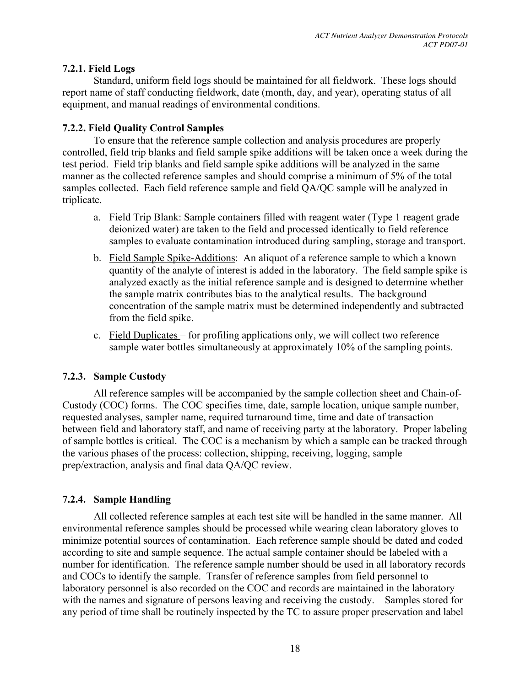# **7.2.1. Field Logs**

Standard, uniform field logs should be maintained for all fieldwork. These logs should report name of staff conducting fieldwork, date (month, day, and year), operating status of all equipment, and manual readings of environmental conditions.

# **7.2.2. Field Quality Control Samples**

To ensure that the reference sample collection and analysis procedures are properly controlled, field trip blanks and field sample spike additions will be taken once a week during the test period. Field trip blanks and field sample spike additions will be analyzed in the same manner as the collected reference samples and should comprise a minimum of 5% of the total samples collected. Each field reference sample and field QA/QC sample will be analyzed in triplicate.

- a. Field Trip Blank: Sample containers filled with reagent water (Type 1 reagent grade deionized water) are taken to the field and processed identically to field reference samples to evaluate contamination introduced during sampling, storage and transport.
- b. Field Sample Spike-Additions: An aliquot of a reference sample to which a known quantity of the analyte of interest is added in the laboratory. The field sample spike is analyzed exactly as the initial reference sample and is designed to determine whether the sample matrix contributes bias to the analytical results. The background concentration of the sample matrix must be determined independently and subtracted from the field spike.
- c. Field Duplicates for profiling applications only, we will collect two reference sample water bottles simultaneously at approximately 10% of the sampling points.

# **7.2.3. Sample Custody**

All reference samples will be accompanied by the sample collection sheet and Chain-of-Custody (COC) forms. The COC specifies time, date, sample location, unique sample number, requested analyses, sampler name, required turnaround time, time and date of transaction between field and laboratory staff, and name of receiving party at the laboratory. Proper labeling of sample bottles is critical. The COC is a mechanism by which a sample can be tracked through the various phases of the process: collection, shipping, receiving, logging, sample prep/extraction, analysis and final data QA/QC review.

# **7.2.4. Sample Handling**

All collected reference samples at each test site will be handled in the same manner. All environmental reference samples should be processed while wearing clean laboratory gloves to minimize potential sources of contamination. Each reference sample should be dated and coded according to site and sample sequence. The actual sample container should be labeled with a number for identification. The reference sample number should be used in all laboratory records and COCs to identify the sample. Transfer of reference samples from field personnel to laboratory personnel is also recorded on the COC and records are maintained in the laboratory with the names and signature of persons leaving and receiving the custody. Samples stored for any period of time shall be routinely inspected by the TC to assure proper preservation and label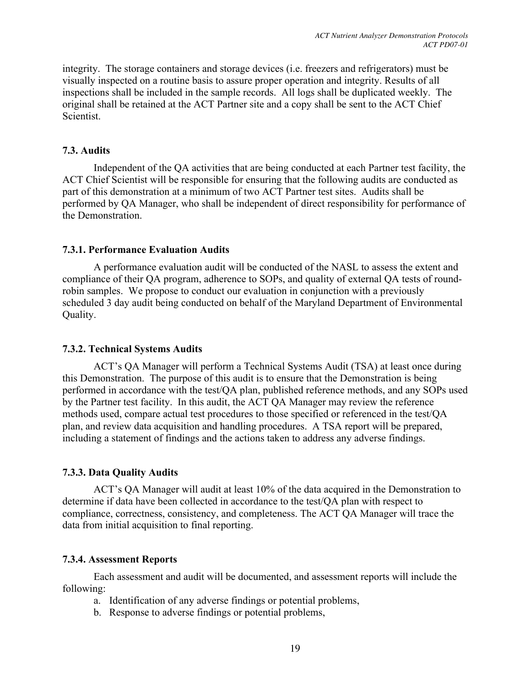integrity. The storage containers and storage devices (i.e. freezers and refrigerators) must be visually inspected on a routine basis to assure proper operation and integrity. Results of all inspections shall be included in the sample records. All logs shall be duplicated weekly. The original shall be retained at the ACT Partner site and a copy shall be sent to the ACT Chief **Scientist** 

# **7.3. Audits**

Independent of the QA activities that are being conducted at each Partner test facility, the ACT Chief Scientist will be responsible for ensuring that the following audits are conducted as part of this demonstration at a minimum of two ACT Partner test sites. Audits shall be performed by QA Manager, who shall be independent of direct responsibility for performance of the Demonstration.

# **7.3.1. Performance Evaluation Audits**

A performance evaluation audit will be conducted of the NASL to assess the extent and compliance of their QA program, adherence to SOPs, and quality of external QA tests of roundrobin samples. We propose to conduct our evaluation in conjunction with a previously scheduled 3 day audit being conducted on behalf of the Maryland Department of Environmental Quality.

# **7.3.2. Technical Systems Audits**

ACT's QA Manager will perform a Technical Systems Audit (TSA) at least once during this Demonstration. The purpose of this audit is to ensure that the Demonstration is being performed in accordance with the test/QA plan, published reference methods, and any SOPs used by the Partner test facility. In this audit, the ACT QA Manager may review the reference methods used, compare actual test procedures to those specified or referenced in the test/QA plan, and review data acquisition and handling procedures. A TSA report will be prepared, including a statement of findings and the actions taken to address any adverse findings.

# **7.3.3. Data Quality Audits**

ACT's QA Manager will audit at least 10% of the data acquired in the Demonstration to determine if data have been collected in accordance to the test/QA plan with respect to compliance, correctness, consistency, and completeness. The ACT QA Manager will trace the data from initial acquisition to final reporting.

# **7.3.4. Assessment Reports**

Each assessment and audit will be documented, and assessment reports will include the following:

- a. Identification of any adverse findings or potential problems,
- b. Response to adverse findings or potential problems,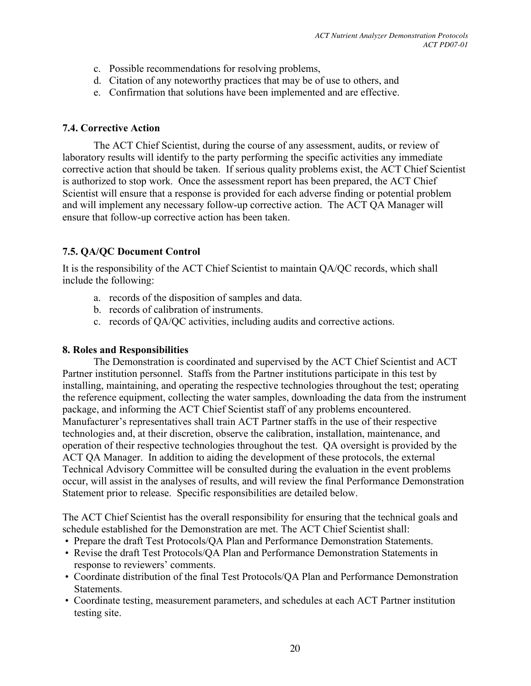- c. Possible recommendations for resolving problems,
- d. Citation of any noteworthy practices that may be of use to others, and
- e. Confirmation that solutions have been implemented and are effective.

#### **7.4. Corrective Action**

The ACT Chief Scientist, during the course of any assessment, audits, or review of laboratory results will identify to the party performing the specific activities any immediate corrective action that should be taken. If serious quality problems exist, the ACT Chief Scientist is authorized to stop work. Once the assessment report has been prepared, the ACT Chief Scientist will ensure that a response is provided for each adverse finding or potential problem and will implement any necessary follow-up corrective action. The ACT QA Manager will ensure that follow-up corrective action has been taken.

# **7.5. QA/QC Document Control**

It is the responsibility of the ACT Chief Scientist to maintain QA/QC records, which shall include the following:

- a. records of the disposition of samples and data.
- b. records of calibration of instruments.
- c. records of QA/QC activities, including audits and corrective actions.

#### **8. Roles and Responsibilities**

The Demonstration is coordinated and supervised by the ACT Chief Scientist and ACT Partner institution personnel. Staffs from the Partner institutions participate in this test by installing, maintaining, and operating the respective technologies throughout the test; operating the reference equipment, collecting the water samples, downloading the data from the instrument package, and informing the ACT Chief Scientist staff of any problems encountered. Manufacturer's representatives shall train ACT Partner staffs in the use of their respective technologies and, at their discretion, observe the calibration, installation, maintenance, and operation of their respective technologies throughout the test. QA oversight is provided by the ACT QA Manager. In addition to aiding the development of these protocols, the external Technical Advisory Committee will be consulted during the evaluation in the event problems occur, will assist in the analyses of results, and will review the final Performance Demonstration Statement prior to release. Specific responsibilities are detailed below.

The ACT Chief Scientist has the overall responsibility for ensuring that the technical goals and schedule established for the Demonstration are met. The ACT Chief Scientist shall:

- Prepare the draft Test Protocols/QA Plan and Performance Demonstration Statements.
- Revise the draft Test Protocols/QA Plan and Performance Demonstration Statements in response to reviewers' comments.
- Coordinate distribution of the final Test Protocols/QA Plan and Performance Demonstration Statements.
- Coordinate testing, measurement parameters, and schedules at each ACT Partner institution testing site.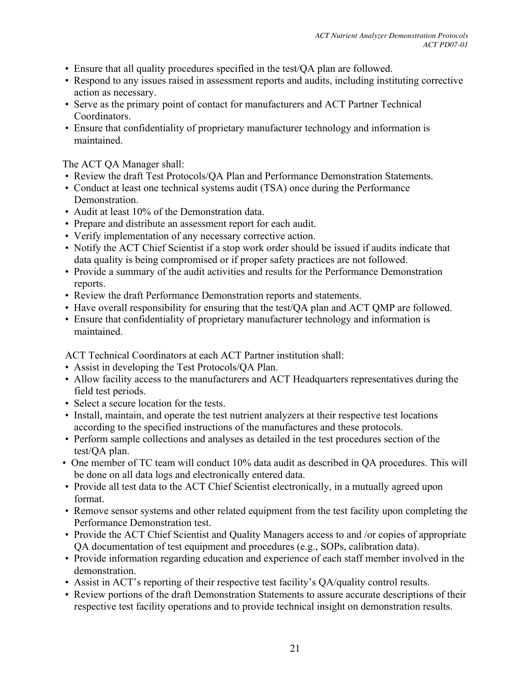- Ensure that all quality procedures specified in the test/QA plan are followed.
- Respond to any issues raised in assessment reports and audits, including instituting corrective action as necessary.
- Serve as the primary point of contact for manufacturers and ACT Partner Technical Coordinators.
- Ensure that confidentiality of proprietary manufacturer technology and information is maintained.

The ACT QA Manager shall:

- Review the draft Test Protocols/QA Plan and Performance Demonstration Statements.
- Conduct at least one technical systems audit (TSA) once during the Performance Demonstration.
- Audit at least 10% of the Demonstration data.
- Prepare and distribute an assessment report for each audit.
- Verify implementation of any necessary corrective action.
- Notify the ACT Chief Scientist if a stop work order should be issued if audits indicate that data quality is being compromised or if proper safety practices are not followed.
- Provide a summary of the audit activities and results for the Performance Demonstration reports.
- Review the draft Performance Demonstration reports and statements.
- Have overall responsibility for ensuring that the test/QA plan and ACT QMP are followed.
- Ensure that confidentiality of proprietary manufacturer technology and information is maintained.

ACT Technical Coordinators at each ACT Partner institution shall:

- Assist in developing the Test Protocols/QA Plan.
- Allow facility access to the manufacturers and ACT Headquarters representatives during the field test periods.
- Select a secure location for the tests.
- Install, maintain, and operate the test nutrient analyzers at their respective test locations according to the specified instructions of the manufactures and these protocols.
- Perform sample collections and analyses as detailed in the test procedures section of the test/QA plan.
- One member of TC team will conduct 10% data audit as described in QA procedures. This will be done on all data logs and electronically entered data.
- Provide all test data to the ACT Chief Scientist electronically, in a mutually agreed upon format.
- Remove sensor systems and other related equipment from the test facility upon completing the Performance Demonstration test.
- Provide the ACT Chief Scientist and Quality Managers access to and /or copies of appropriate QA documentation of test equipment and procedures (e.g., SOPs, calibration data).
- Provide information regarding education and experience of each staff member involved in the demonstration.
- Assist in ACT's reporting of their respective test facility's QA/quality control results.
- Review portions of the draft Demonstration Statements to assure accurate descriptions of their respective test facility operations and to provide technical insight on demonstration results.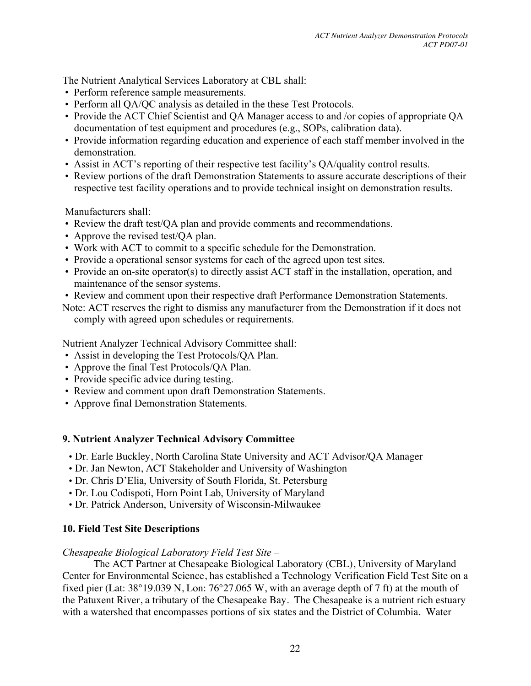The Nutrient Analytical Services Laboratory at CBL shall:

- Perform reference sample measurements.
- Perform all QA/QC analysis as detailed in the these Test Protocols.
- Provide the ACT Chief Scientist and QA Manager access to and /or copies of appropriate QA documentation of test equipment and procedures (e.g., SOPs, calibration data).
- Provide information regarding education and experience of each staff member involved in the demonstration.
- Assist in ACT's reporting of their respective test facility's QA/quality control results.
- Review portions of the draft Demonstration Statements to assure accurate descriptions of their respective test facility operations and to provide technical insight on demonstration results.

Manufacturers shall:

- Review the draft test/QA plan and provide comments and recommendations.
- Approve the revised test/QA plan.
- Work with ACT to commit to a specific schedule for the Demonstration.
- Provide a operational sensor systems for each of the agreed upon test sites.
- Provide an on-site operator(s) to directly assist ACT staff in the installation, operation, and maintenance of the sensor systems.
- Review and comment upon their respective draft Performance Demonstration Statements.
- Note: ACT reserves the right to dismiss any manufacturer from the Demonstration if it does not comply with agreed upon schedules or requirements.

Nutrient Analyzer Technical Advisory Committee shall:

- Assist in developing the Test Protocols/QA Plan.
- Approve the final Test Protocols/QA Plan.
- Provide specific advice during testing.
- Review and comment upon draft Demonstration Statements.
- Approve final Demonstration Statements.

#### **9. Nutrient Analyzer Technical Advisory Committee**

- Dr. Earle Buckley, North Carolina State University and ACT Advisor/QA Manager
- Dr. Jan Newton, ACT Stakeholder and University of Washington
- Dr. Chris D'Elia, University of South Florida, St. Petersburg
- Dr. Lou Codispoti, Horn Point Lab, University of Maryland
- Dr. Patrick Anderson, University of Wisconsin-Milwaukee

# **10. Field Test Site Descriptions**

#### *Chesapeake Biological Laboratory Field Test Site* –

The ACT Partner at Chesapeake Biological Laboratory (CBL), University of Maryland Center for Environmental Science, has established a Technology Verification Field Test Site on a fixed pier (Lat: 38°19.039 N, Lon: 76°27.065 W, with an average depth of 7 ft) at the mouth of the Patuxent River, a tributary of the Chesapeake Bay. The Chesapeake is a nutrient rich estuary with a watershed that encompasses portions of six states and the District of Columbia. Water